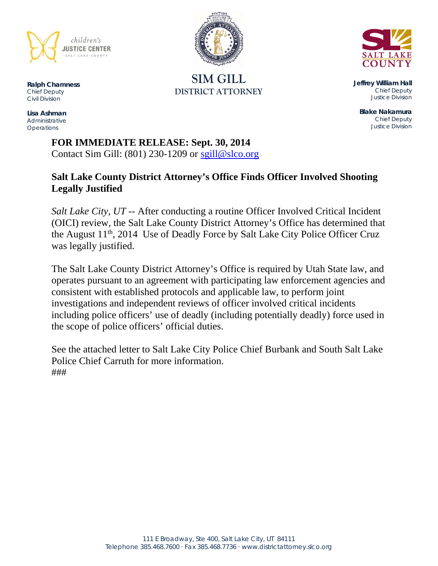

**SIM GILL DISTRICT ATTORNEY** 



**Jeffrey William Hall**  *Chief Deputy Justice Division* 

**Blake Nakamura**  *Chief Deputy Justice Division* 

**Ralph Chamness**  *Chief Deputy Civil Division* 

**Lisa Ashman**  *Administrative Operations* 

> **FOR IMMEDIATE RELEASE: Sept. 30, 2014** Contact Sim Gill:  $(801)$  230-1209 or sgill@slco.org

# **Salt Lake County District Attorney's Office Finds Officer Involved Shooting Legally Justified**

*Salt Lake City, UT* -- After conducting a routine Officer Involved Critical Incident (OICI) review, the Salt Lake County District Attorney's Office has determined that the August 11<sup>th</sup>, 2014 Use of Deadly Force by Salt Lake City Police Officer Cruz was legally justified.

The Salt Lake County District Attorney's Office is required by Utah State law, and operates pursuant to an agreement with participating law enforcement agencies and consistent with established protocols and applicable law, to perform joint investigations and independent reviews of officer involved critical incidents including police officers' use of deadly (including potentially deadly) force used in the scope of police officers' official duties.

See the attached letter to Salt Lake City Police Chief Burbank and South Salt Lake Police Chief Carruth for more information. ###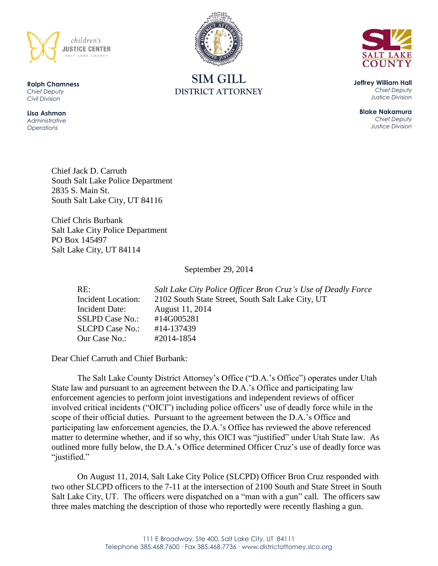



**SIM GILL DISTRICT ATTORNEY**

**Jeffrey William Hall** *Chief Deputy Justice Division*

**Blake Nakamura** *Chief Deputy Justice Division*

Chief Jack D. Carruth South Salt Lake Police Department 2835 S. Main St. South Salt Lake City, UT 84116

Chief Chris Burbank Salt Lake City Police Department PO Box 145497 Salt Lake City, UT 84114

September 29, 2014

| RE:                    | Salt Lake City Police Officer Bron Cruz's Use of Deadly Force |
|------------------------|---------------------------------------------------------------|
| Incident Location:     | 2102 South State Street, South Salt Lake City, UT             |
| Incident Date:         | August 11, 2014                                               |
| <b>SSLPD Case No.:</b> | #14G005281                                                    |
| <b>SLCPD Case No.:</b> | #14-137439                                                    |
| Our Case No.:          | #2014-1854                                                    |

Dear Chief Carruth and Chief Burbank:

The Salt Lake County District Attorney's Office ("D.A.'s Office") operates under Utah State law and pursuant to an agreement between the D.A.'s Office and participating law enforcement agencies to perform joint investigations and independent reviews of officer involved critical incidents ("OICI") including police officers' use of deadly force while in the scope of their official duties. Pursuant to the agreement between the D.A.'s Office and participating law enforcement agencies, the D.A.'s Office has reviewed the above referenced matter to determine whether, and if so why, this OICI was "justified" under Utah State law. As outlined more fully below, the D.A.'s Office determined Officer Cruz's use of deadly force was "justified."

On August 11, 2014, Salt Lake City Police (SLCPD) Officer Bron Cruz responded with two other SLCPD officers to the 7-11 at the intersection of 2100 South and State Street in South Salt Lake City, UT. The officers were dispatched on a "man with a gun" call. The officers saw three males matching the description of those who reportedly were recently flashing a gun.

**Ralph Chamness**  *Chief Deputy Civil Division*

**Lisa Ashman** *Administrative Operations*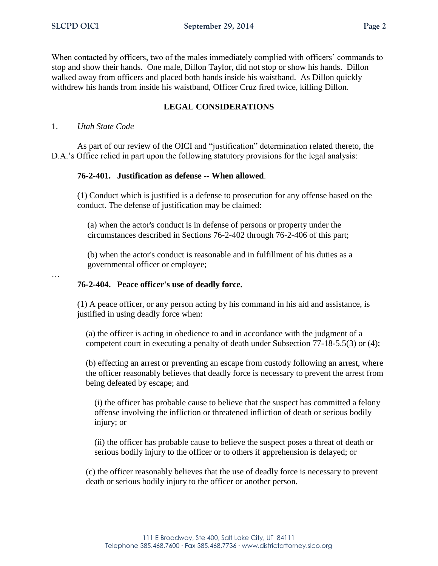When contacted by officers, two of the males immediately complied with officers' commands to stop and show their hands. One male, Dillon Taylor, did not stop or show his hands. Dillon walked away from officers and placed both hands inside his waistband. As Dillon quickly withdrew his hands from inside his waistband, Officer Cruz fired twice, killing Dillon.

# **LEGAL CONSIDERATIONS**

#### 1. *Utah State Code*

As part of our review of the OICI and "justification" determination related thereto, the D.A.'s Office relied in part upon the following statutory provisions for the legal analysis:

## **76-2-401. Justification as defense -- When allowed**.

(1) Conduct which is justified is a defense to prosecution for any offense based on the conduct. The defense of justification may be claimed:

(a) when the actor's conduct is in defense of persons or property under the circumstances described in Sections 76-2-402 through 76-2-406 of this part;

(b) when the actor's conduct is reasonable and in fulfillment of his duties as a governmental officer or employee;

…

### **76-2-404. Peace officer's use of deadly force.**

(1) A peace officer, or any person acting by his command in his aid and assistance, is justified in using deadly force when:

(a) the officer is acting in obedience to and in accordance with the judgment of a competent court in executing a penalty of death under Subsection 77-18-5.5(3) or (4);

(b) effecting an arrest or preventing an escape from custody following an arrest, where the officer reasonably believes that deadly force is necessary to prevent the arrest from being defeated by escape; and

(i) the officer has probable cause to believe that the suspect has committed a felony offense involving the infliction or threatened infliction of death or serious bodily injury; or

(ii) the officer has probable cause to believe the suspect poses a threat of death or serious bodily injury to the officer or to others if apprehension is delayed; or

(c) the officer reasonably believes that the use of deadly force is necessary to prevent death or serious bodily injury to the officer or another person.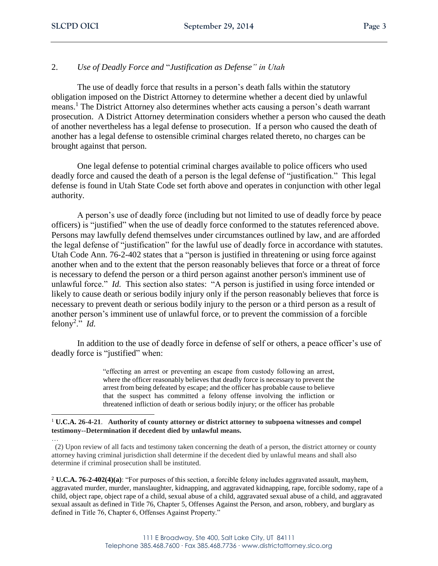# 2. *Use of Deadly Force and* "*Justification as Defense" in Utah*

The use of deadly force that results in a person's death falls within the statutory obligation imposed on the District Attorney to determine whether a decent died by unlawful means.<sup>1</sup> The District Attorney also determines whether acts causing a person's death warrant prosecution. A District Attorney determination considers whether a person who caused the death of another nevertheless has a legal defense to prosecution. If a person who caused the death of another has a legal defense to ostensible criminal charges related thereto, no charges can be brought against that person.

One legal defense to potential criminal charges available to police officers who used deadly force and caused the death of a person is the legal defense of "justification." This legal defense is found in Utah State Code set forth above and operates in conjunction with other legal authority.

A person's use of deadly force (including but not limited to use of deadly force by peace officers) is "justified" when the use of deadly force conformed to the statutes referenced above. Persons may lawfully defend themselves under circumstances outlined by law, and are afforded the legal defense of "justification" for the lawful use of deadly force in accordance with statutes. Utah Code Ann. 76-2-402 states that a "person is justified in threatening or using force against another when and to the extent that the person reasonably believes that force or a threat of force is necessary to defend the person or a third person against another person's imminent use of unlawful force." *Id.* This section also states: "A person is justified in using force intended or likely to cause death or serious bodily injury only if the person reasonably believes that force is necessary to prevent death or serious bodily injury to the person or a third person as a result of another person's imminent use of unlawful force, or to prevent the commission of a forcible felony<sup>2</sup>." *Id.* 

In addition to the use of deadly force in defense of self or others, a peace officer's use of deadly force is "justified" when:

> "effecting an arrest or preventing an escape from custody following an arrest, where the officer reasonably believes that deadly force is necessary to prevent the arrest from being defeated by escape; and the officer has probable cause to believe that the suspect has committed a felony offense involving the infliction or threatened infliction of death or serious bodily injury; or the officer has probable

<sup>1</sup> **U.C.A. 26-4-21**. **Authority of county attorney or district attorney to subpoena witnesses and compel testimony--Determination if decedent died by unlawful means.**

… (2) Upon review of all facts and testimony taken concerning the death of a person, the district attorney or county attorney having criminal jurisdiction shall determine if the decedent died by unlawful means and shall also determine if criminal prosecution shall be instituted.

<sup>2</sup> **U.C.A. 76-2-402(4)(a)**: "For purposes of this section, a forcible felony includes aggravated assault, mayhem, aggravated murder, murder, manslaughter, kidnapping, and aggravated kidnapping, rape, forcible sodomy, rape of a child, object rape, object rape of a child, sexual abuse of a child, aggravated sexual abuse of a child, and aggravated sexual assault as defined in Title 76, Chapter 5, Offenses Against the Person, and arson, robbery, and burglary as defined in Title 76, Chapter 6, Offenses Against Property."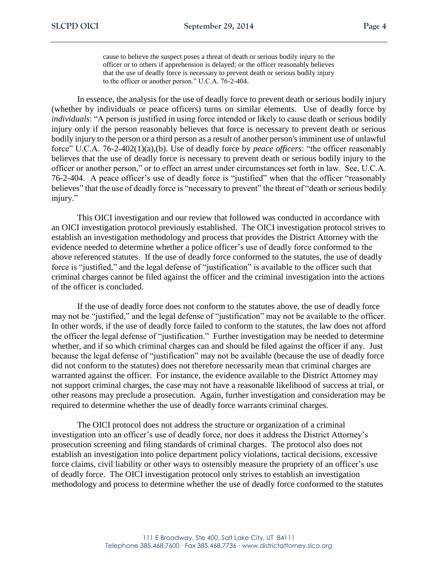cause to believe the suspect poses a threat of death or serious bodily injury to the officer or to others if apprehension is delayed; or the officer reasonably believes that the use of deadly force is necessary to prevent death or serious bodily injury to the officer or another person." U.C.A. 76-2-404.

In essence, the analysis for the use of deadly force to prevent death or serious bodily injury (whether by individuals or peace officers) turns on similar elements. Use of deadly force by *individuals*: "A person is justified in using force intended or likely to cause death or serious bodily injury only if the person reasonably believes that force is necessary to prevent death or serious bodily injury to the person or a third person as a result of another person's imminent use of unlawful force" U.C.A. 76-2-402(1)(a),(b). Use of deadly force by *peace officers*: "the officer reasonably believes that the use of deadly force is necessary to prevent death or serious bodily injury to the officer or another person," or to effect an arrest under circumstances set forth in law. See, U.C.A. 76-2-404. A peace officer's use of deadly force is "justified" when that the officer "reasonably believes" that the use of deadly force is "necessary to prevent" the threat of "death or serious bodily injury."

This OICI investigation and our review that followed was conducted in accordance with an OICI investigation protocol previously established. The OICI investigation protocol strives to establish an investigation methodology and process that provides the District Attorney with the evidence needed to determine whether a police officer's use of deadly force conformed to the above referenced statutes. If the use of deadly force conformed to the statutes, the use of deadly force is "justified," and the legal defense of "justification" is available to the officer such that criminal charges cannot be filed against the officer and the criminal investigation into the actions of the officer is concluded.

If the use of deadly force does not conform to the statutes above, the use of deadly force may not be "justified," and the legal defense of "justification" may not be available to the officer. In other words, if the use of deadly force failed to conform to the statutes, the law does not afford the officer the legal defense of "justification." Further investigation may be needed to determine whether, and if so which criminal charges can and should be filed against the officer if any. Just because the legal defense of "justification" may not be available (because the use of deadly force did not conform to the statutes) does not therefore necessarily mean that criminal charges are warranted against the officer. For instance, the evidence available to the District Attorney may not support criminal charges, the case may not have a reasonable likelihood of success at trial, or other reasons may preclude a prosecution. Again, further investigation and consideration may be required to determine whether the use of deadly force warrants criminal charges.

The OICI protocol does not address the structure or organization of a criminal investigation into an officer's use of deadly force, nor does it address the District Attorney's prosecution screening and filing standards of criminal charges. The protocol also does not establish an investigation into police department policy violations, tactical decisions, excessive force claims, civil liability or other ways to ostensibly measure the propriety of an officer's use of deadly force. The OICI investigation protocol only strives to establish an investigation methodology and process to determine whether the use of deadly force conformed to the statutes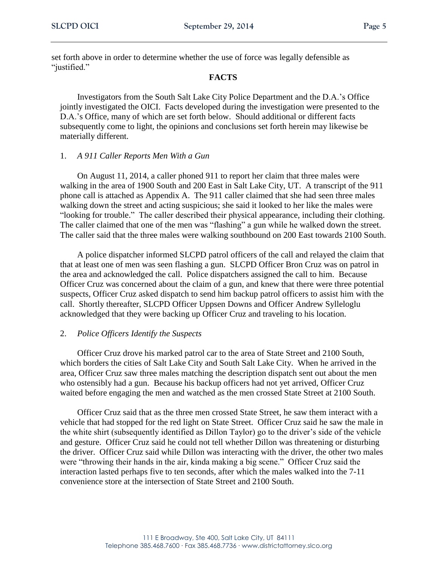set forth above in order to determine whether the use of force was legally defensible as "justified."

#### **FACTS**

Investigators from the South Salt Lake City Police Department and the D.A.'s Office jointly investigated the OICI. Facts developed during the investigation were presented to the D.A.'s Office, many of which are set forth below. Should additional or different facts subsequently come to light, the opinions and conclusions set forth herein may likewise be materially different.

## 1. *A 911 Caller Reports Men With a Gun*

On August 11, 2014, a caller phoned 911 to report her claim that three males were walking in the area of 1900 South and 200 East in Salt Lake City, UT. A transcript of the 911 phone call is attached as Appendix A. The 911 caller claimed that she had seen three males walking down the street and acting suspicious; she said it looked to her like the males were "looking for trouble." The caller described their physical appearance, including their clothing. The caller claimed that one of the men was "flashing" a gun while he walked down the street. The caller said that the three males were walking southbound on 200 East towards 2100 South.

A police dispatcher informed SLCPD patrol officers of the call and relayed the claim that that at least one of men was seen flashing a gun. SLCPD Officer Bron Cruz was on patrol in the area and acknowledged the call. Police dispatchers assigned the call to him. Because Officer Cruz was concerned about the claim of a gun, and knew that there were three potential suspects, Officer Cruz asked dispatch to send him backup patrol officers to assist him with the call. Shortly thereafter, SLCPD Officer Uppsen Downs and Officer Andrew Sylleloglu acknowledged that they were backing up Officer Cruz and traveling to his location.

## 2. *Police Officers Identify the Suspects*

Officer Cruz drove his marked patrol car to the area of State Street and 2100 South, which borders the cities of Salt Lake City and South Salt Lake City. When he arrived in the area, Officer Cruz saw three males matching the description dispatch sent out about the men who ostensibly had a gun. Because his backup officers had not yet arrived, Officer Cruz waited before engaging the men and watched as the men crossed State Street at 2100 South.

Officer Cruz said that as the three men crossed State Street, he saw them interact with a vehicle that had stopped for the red light on State Street. Officer Cruz said he saw the male in the white shirt (subsequently identified as Dillon Taylor) go to the driver's side of the vehicle and gesture. Officer Cruz said he could not tell whether Dillon was threatening or disturbing the driver. Officer Cruz said while Dillon was interacting with the driver, the other two males were "throwing their hands in the air, kinda making a big scene." Officer Cruz said the interaction lasted perhaps five to ten seconds, after which the males walked into the 7-11 convenience store at the intersection of State Street and 2100 South.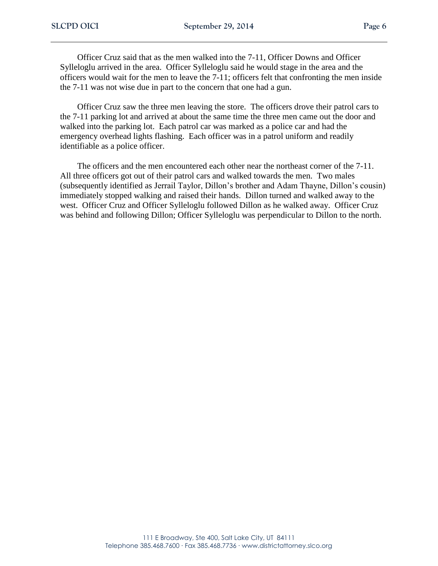Officer Cruz said that as the men walked into the 7-11, Officer Downs and Officer Sylleloglu arrived in the area. Officer Sylleloglu said he would stage in the area and the officers would wait for the men to leave the 7-11; officers felt that confronting the men inside the 7-11 was not wise due in part to the concern that one had a gun.

Officer Cruz saw the three men leaving the store. The officers drove their patrol cars to the 7-11 parking lot and arrived at about the same time the three men came out the door and walked into the parking lot. Each patrol car was marked as a police car and had the emergency overhead lights flashing. Each officer was in a patrol uniform and readily identifiable as a police officer.

The officers and the men encountered each other near the northeast corner of the 7-11. All three officers got out of their patrol cars and walked towards the men. Two males (subsequently identified as Jerrail Taylor, Dillon's brother and Adam Thayne, Dillon's cousin) immediately stopped walking and raised their hands. Dillon turned and walked away to the west. Officer Cruz and Officer Sylleloglu followed Dillon as he walked away. Officer Cruz was behind and following Dillon; Officer Sylleloglu was perpendicular to Dillon to the north.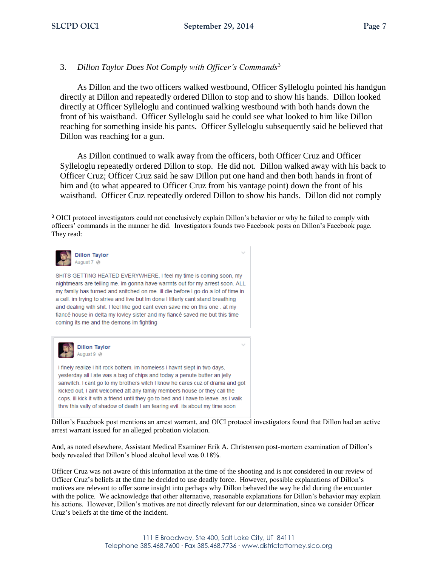# 3. *Dillon Taylor Does Not Comply with Officer's Commands*<sup>3</sup>

As Dillon and the two officers walked westbound, Officer Sylleloglu pointed his handgun directly at Dillon and repeatedly ordered Dillon to stop and to show his hands. Dillon looked directly at Officer Sylleloglu and continued walking westbound with both hands down the front of his waistband. Officer Sylleloglu said he could see what looked to him like Dillon reaching for something inside his pants. Officer Sylleloglu subsequently said he believed that Dillon was reaching for a gun.

As Dillon continued to walk away from the officers, both Officer Cruz and Officer Sylleloglu repeatedly ordered Dillon to stop. He did not. Dillon walked away with his back to Officer Cruz; Officer Cruz said he saw Dillon put one hand and then both hands in front of him and (to what appeared to Officer Cruz from his vantage point) down the front of his waistband. Officer Cruz repeatedly ordered Dillon to show his hands. Dillon did not comply

<sup>3</sup> OICI protocol investigators could not conclusively explain Dillon's behavior or why he failed to comply with officers' commands in the manner he did. Investigators founds two Facebook posts on Dillon's Facebook page. They read:



 $\overline{a}$ 

SHITS GETTING HEATED EVERYWHERE, I feel my time is coming soon, my nightmears are telling me. im gonna have warrnts out for my arrest soon. ALL my family has turned and snitched on me. ill die before I go do a lot of time in a cell. im trying to strive and live but Im done I litterly cant stand breathing and dealing with shit. I feel like god cant even save me on this one . at my fiancé house in delta my lovley sister and my fiancé saved me but this time coming its me and the demons im fighting



I finely realize I hit rock bottem. im homeless I havnt slept in two days, yesterday all I ate was a bag of chips and today a penute butter an jelly sanwitch. I cant go to my brothers witch I know he cares cuz of drama and got kicked out, I aint welcomed att any family members house or they call the cops. ill kick it with a friend until they go to bed and I have to leave. as I walk thrw this vally of shadow of death I am fearing evil. its about my time soon

Dillon's Facebook post mentions an arrest warrant, and OICI protocol investigators found that Dillon had an active arrest warrant issued for an alleged probation violation.

And, as noted elsewhere, Assistant Medical Examiner Erik A. Christensen post-mortem examination of Dillon's body revealed that Dillon's blood alcohol level was 0.18%.

Officer Cruz was not aware of this information at the time of the shooting and is not considered in our review of Officer Cruz's beliefs at the time he decided to use deadly force. However, possible explanations of Dillon's motives are relevant to offer some insight into perhaps why Dillon behaved the way he did during the encounter with the police. We acknowledge that other alternative, reasonable explanations for Dillon's behavior may explain his actions. However, Dillon's motives are not directly relevant for our determination, since we consider Officer Cruz's beliefs at the time of the incident.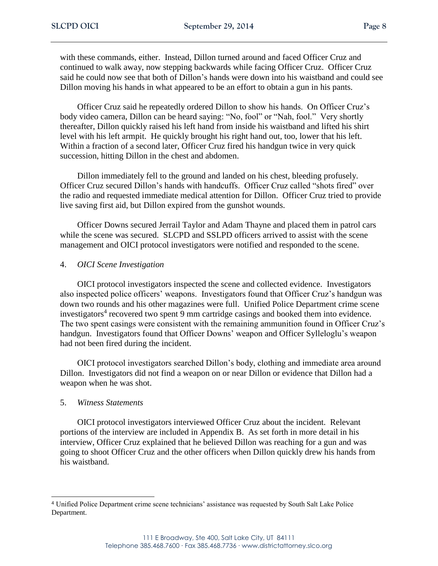with these commands, either. Instead, Dillon turned around and faced Officer Cruz and continued to walk away, now stepping backwards while facing Officer Cruz. Officer Cruz said he could now see that both of Dillon's hands were down into his waistband and could see Dillon moving his hands in what appeared to be an effort to obtain a gun in his pants.

Officer Cruz said he repeatedly ordered Dillon to show his hands. On Officer Cruz's body video camera, Dillon can be heard saying: "No, fool" or "Nah, fool." Very shortly thereafter, Dillon quickly raised his left hand from inside his waistband and lifted his shirt level with his left armpit. He quickly brought his right hand out, too, lower that his left. Within a fraction of a second later, Officer Cruz fired his handgun twice in very quick succession, hitting Dillon in the chest and abdomen.

Dillon immediately fell to the ground and landed on his chest, bleeding profusely. Officer Cruz secured Dillon's hands with handcuffs. Officer Cruz called "shots fired" over the radio and requested immediate medical attention for Dillon. Officer Cruz tried to provide live saving first aid, but Dillon expired from the gunshot wounds.

Officer Downs secured Jerrail Taylor and Adam Thayne and placed them in patrol cars while the scene was secured. SLCPD and SSLPD officers arrived to assist with the scene management and OICI protocol investigators were notified and responded to the scene.

#### 4. *OICI Scene Investigation*

OICI protocol investigators inspected the scene and collected evidence. Investigators also inspected police officers' weapons. Investigators found that Officer Cruz's handgun was down two rounds and his other magazines were full. Unified Police Department crime scene investigators<sup>4</sup> recovered two spent 9 mm cartridge casings and booked them into evidence. The two spent casings were consistent with the remaining ammunition found in Officer Cruz's handgun. Investigators found that Officer Downs' weapon and Officer Sylleloglu's weapon had not been fired during the incident.

OICI protocol investigators searched Dillon's body, clothing and immediate area around Dillon. Investigators did not find a weapon on or near Dillon or evidence that Dillon had a weapon when he was shot.

## 5. *Witness Statements*

OICI protocol investigators interviewed Officer Cruz about the incident. Relevant portions of the interview are included in Appendix B. As set forth in more detail in his interview, Officer Cruz explained that he believed Dillon was reaching for a gun and was going to shoot Officer Cruz and the other officers when Dillon quickly drew his hands from his waistband.

<sup>4</sup> Unified Police Department crime scene technicians' assistance was requested by South Salt Lake Police Department.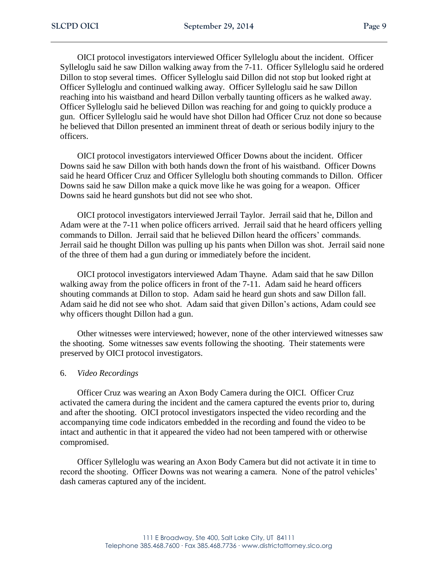OICI protocol investigators interviewed Officer Sylleloglu about the incident. Officer Sylleloglu said he saw Dillon walking away from the 7-11. Officer Sylleloglu said he ordered Dillon to stop several times. Officer Sylleloglu said Dillon did not stop but looked right at Officer Sylleloglu and continued walking away. Officer Sylleloglu said he saw Dillon reaching into his waistband and heard Dillon verbally taunting officers as he walked away. Officer Sylleloglu said he believed Dillon was reaching for and going to quickly produce a gun. Officer Sylleloglu said he would have shot Dillon had Officer Cruz not done so because he believed that Dillon presented an imminent threat of death or serious bodily injury to the officers.

OICI protocol investigators interviewed Officer Downs about the incident. Officer Downs said he saw Dillon with both hands down the front of his waistband. Officer Downs said he heard Officer Cruz and Officer Sylleloglu both shouting commands to Dillon. Officer Downs said he saw Dillon make a quick move like he was going for a weapon. Officer Downs said he heard gunshots but did not see who shot.

OICI protocol investigators interviewed Jerrail Taylor. Jerrail said that he, Dillon and Adam were at the 7-11 when police officers arrived. Jerrail said that he heard officers yelling commands to Dillon. Jerrail said that he believed Dillon heard the officers' commands. Jerrail said he thought Dillon was pulling up his pants when Dillon was shot. Jerrail said none of the three of them had a gun during or immediately before the incident.

OICI protocol investigators interviewed Adam Thayne. Adam said that he saw Dillon walking away from the police officers in front of the 7-11. Adam said he heard officers shouting commands at Dillon to stop. Adam said he heard gun shots and saw Dillon fall. Adam said he did not see who shot. Adam said that given Dillon's actions, Adam could see why officers thought Dillon had a gun.

Other witnesses were interviewed; however, none of the other interviewed witnesses saw the shooting. Some witnesses saw events following the shooting. Their statements were preserved by OICI protocol investigators.

## 6. *Video Recordings*

Officer Cruz was wearing an Axon Body Camera during the OICI. Officer Cruz activated the camera during the incident and the camera captured the events prior to, during and after the shooting. OICI protocol investigators inspected the video recording and the accompanying time code indicators embedded in the recording and found the video to be intact and authentic in that it appeared the video had not been tampered with or otherwise compromised.

Officer Sylleloglu was wearing an Axon Body Camera but did not activate it in time to record the shooting. Officer Downs was not wearing a camera. None of the patrol vehicles' dash cameras captured any of the incident.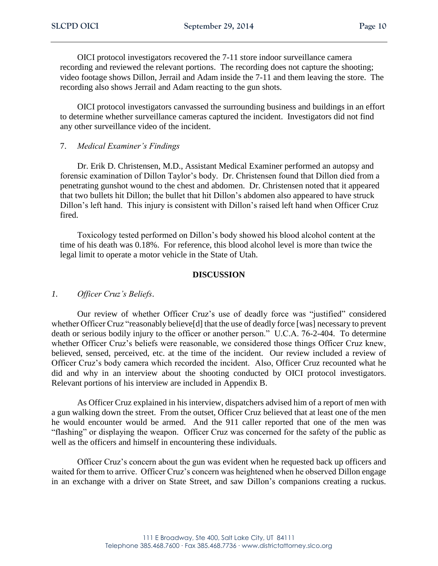OICI protocol investigators recovered the 7-11 store indoor surveillance camera recording and reviewed the relevant portions. The recording does not capture the shooting; video footage shows Dillon, Jerrail and Adam inside the 7-11 and them leaving the store. The recording also shows Jerrail and Adam reacting to the gun shots.

OICI protocol investigators canvassed the surrounding business and buildings in an effort to determine whether surveillance cameras captured the incident. Investigators did not find any other surveillance video of the incident.

#### 7. *Medical Examiner's Findings*

Dr. Erik D. Christensen, M.D., Assistant Medical Examiner performed an autopsy and forensic examination of Dillon Taylor's body. Dr. Christensen found that Dillon died from a penetrating gunshot wound to the chest and abdomen. Dr. Christensen noted that it appeared that two bullets hit Dillon; the bullet that hit Dillon's abdomen also appeared to have struck Dillon's left hand. This injury is consistent with Dillon's raised left hand when Officer Cruz fired.

Toxicology tested performed on Dillon's body showed his blood alcohol content at the time of his death was 0.18%. For reference, this blood alcohol level is more than twice the legal limit to operate a motor vehicle in the State of Utah.

#### **DISCUSSION**

## *1. Officer Cruz's Beliefs*.

Our review of whether Officer Cruz's use of deadly force was "justified" considered whether Officer Cruz "reasonably believe[d] that the use of deadly force [was] necessary to prevent death or serious bodily injury to the officer or another person." U.C.A. 76-2-404. To determine whether Officer Cruz's beliefs were reasonable, we considered those things Officer Cruz knew, believed, sensed, perceived, etc. at the time of the incident. Our review included a review of Officer Cruz's body camera which recorded the incident. Also, Officer Cruz recounted what he did and why in an interview about the shooting conducted by OICI protocol investigators. Relevant portions of his interview are included in Appendix B.

As Officer Cruz explained in his interview, dispatchers advised him of a report of men with a gun walking down the street. From the outset, Officer Cruz believed that at least one of the men he would encounter would be armed. And the 911 caller reported that one of the men was "flashing" or displaying the weapon. Officer Cruz was concerned for the safety of the public as well as the officers and himself in encountering these individuals.

Officer Cruz's concern about the gun was evident when he requested back up officers and waited for them to arrive. Officer Cruz's concern was heightened when he observed Dillon engage in an exchange with a driver on State Street, and saw Dillon's companions creating a ruckus.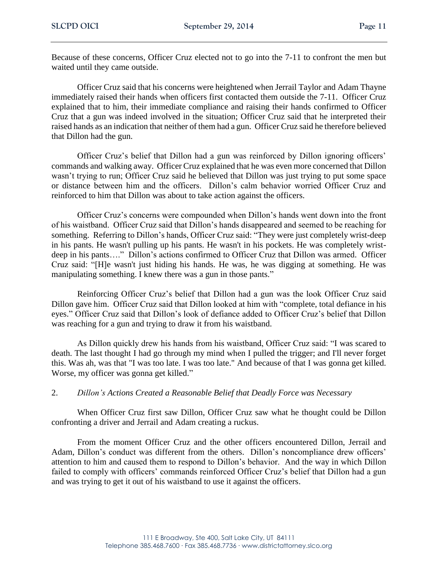Because of these concerns, Officer Cruz elected not to go into the 7-11 to confront the men but waited until they came outside.

Officer Cruz said that his concerns were heightened when Jerrail Taylor and Adam Thayne immediately raised their hands when officers first contacted them outside the 7-11. Officer Cruz explained that to him, their immediate compliance and raising their hands confirmed to Officer Cruz that a gun was indeed involved in the situation; Officer Cruz said that he interpreted their raised hands as an indication that neither of them had a gun. Officer Cruz said he therefore believed that Dillon had the gun.

Officer Cruz's belief that Dillon had a gun was reinforced by Dillon ignoring officers' commands and walking away. Officer Cruz explained that he was even more concerned that Dillon wasn't trying to run; Officer Cruz said he believed that Dillon was just trying to put some space or distance between him and the officers. Dillon's calm behavior worried Officer Cruz and reinforced to him that Dillon was about to take action against the officers.

Officer Cruz's concerns were compounded when Dillon's hands went down into the front of his waistband. Officer Cruz said that Dillon's hands disappeared and seemed to be reaching for something. Referring to Dillon's hands, Officer Cruz said: "They were just completely wrist-deep in his pants. He wasn't pulling up his pants. He wasn't in his pockets. He was completely wristdeep in his pants…." Dillon's actions confirmed to Officer Cruz that Dillon was armed. Officer Cruz said: "[H]e wasn't just hiding his hands. He was, he was digging at something. He was manipulating something. I knew there was a gun in those pants."

Reinforcing Officer Cruz's belief that Dillon had a gun was the look Officer Cruz said Dillon gave him. Officer Cruz said that Dillon looked at him with "complete, total defiance in his eyes." Officer Cruz said that Dillon's look of defiance added to Officer Cruz's belief that Dillon was reaching for a gun and trying to draw it from his waistband.

As Dillon quickly drew his hands from his waistband, Officer Cruz said: "I was scared to death. The last thought I had go through my mind when I pulled the trigger; and I'll never forget this. Was ah, was that "I was too late. I was too late." And because of that I was gonna get killed. Worse, my officer was gonna get killed."

# 2. *Dillon's Actions Created a Reasonable Belief that Deadly Force was Necessary*

When Officer Cruz first saw Dillon, Officer Cruz saw what he thought could be Dillon confronting a driver and Jerrail and Adam creating a ruckus.

From the moment Officer Cruz and the other officers encountered Dillon, Jerrail and Adam, Dillon's conduct was different from the others. Dillon's noncompliance drew officers' attention to him and caused them to respond to Dillon's behavior. And the way in which Dillon failed to comply with officers' commands reinforced Officer Cruz's belief that Dillon had a gun and was trying to get it out of his waistband to use it against the officers.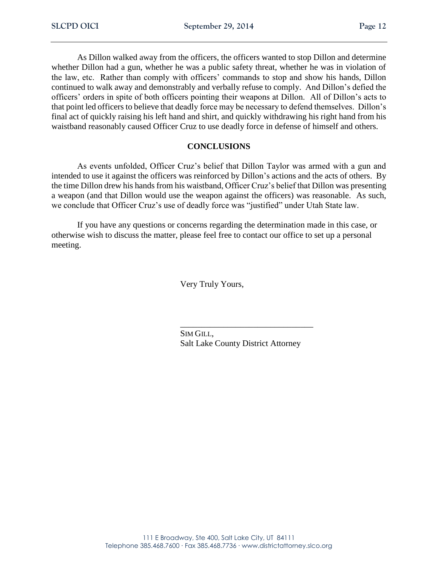As Dillon walked away from the officers, the officers wanted to stop Dillon and determine whether Dillon had a gun, whether he was a public safety threat, whether he was in violation of the law, etc. Rather than comply with officers' commands to stop and show his hands, Dillon continued to walk away and demonstrably and verbally refuse to comply. And Dillon's defied the officers' orders in spite of both officers pointing their weapons at Dillon. All of Dillon's acts to that point led officers to believe that deadly force may be necessary to defend themselves. Dillon's final act of quickly raising his left hand and shirt, and quickly withdrawing his right hand from his waistband reasonably caused Officer Cruz to use deadly force in defense of himself and others.

# **CONCLUSIONS**

As events unfolded, Officer Cruz's belief that Dillon Taylor was armed with a gun and intended to use it against the officers was reinforced by Dillon's actions and the acts of others. By the time Dillon drew his hands from his waistband, Officer Cruz's belief that Dillon was presenting a weapon (and that Dillon would use the weapon against the officers) was reasonable. As such, we conclude that Officer Cruz's use of deadly force was "justified" under Utah State law.

If you have any questions or concerns regarding the determination made in this case, or otherwise wish to discuss the matter, please feel free to contact our office to set up a personal meeting.

Very Truly Yours,

SIM GILL, Salt Lake County District Attorney

\_\_\_\_\_\_\_\_\_\_\_\_\_\_\_\_\_\_\_\_\_\_\_\_\_\_\_\_\_\_\_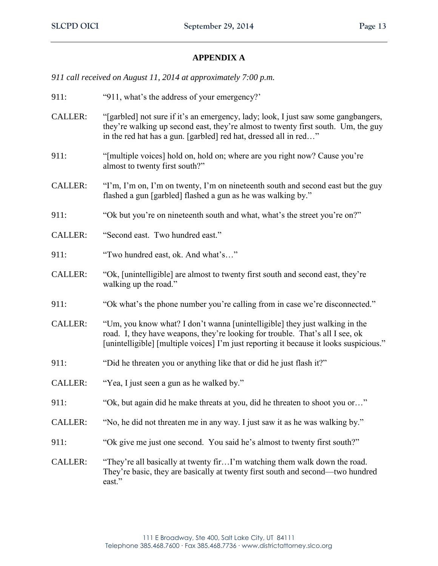# **APPENDIX A**

*911 call received on August 11, 2014 at approximately 7:00 p.m.*

- 911: "911, what's the address of your emergency?'
- CALLER: "[garbled] not sure if it's an emergency, lady; look, I just saw some gangbangers, they're walking up second east, they're almost to twenty first south. Um, the guy in the red hat has a gun. [garbled] red hat, dressed all in red…"
- 911: "[multiple voices] hold on, hold on; where are you right now? Cause you're almost to twenty first south?"
- CALLER: "I'm, I'm on, I'm on twenty, I'm on nineteenth south and second east but the guy flashed a gun [garbled] flashed a gun as he was walking by."
- 911: "Ok but you're on nineteenth south and what, what's the street you're on?"
- CALLER: "Second east. Two hundred east."
- 911: "Two hundred east, ok. And what's…"
- CALLER: "Ok, [unintelligible] are almost to twenty first south and second east, they're walking up the road."
- 911: "Ok what's the phone number you're calling from in case we're disconnected."
- CALLER: "Um, you know what? I don't wanna [unintelligible] they just walking in the road. I, they have weapons, they're looking for trouble. That's all I see, ok [unintelligible] [multiple voices] I'm just reporting it because it looks suspicious."
- 911: "Did he threaten you or anything like that or did he just flash it?"
- CALLER: "Yea, I just seen a gun as he walked by."
- 911: "Ok, but again did he make threats at you, did he threaten to shoot you or..."
- CALLER: "No, he did not threaten me in any way. I just saw it as he was walking by."
- 911: "Ok give me just one second. You said he's almost to twenty first south?"
- CALLER: "They're all basically at twenty fir…I'm watching them walk down the road. They're basic, they are basically at twenty first south and second—two hundred east."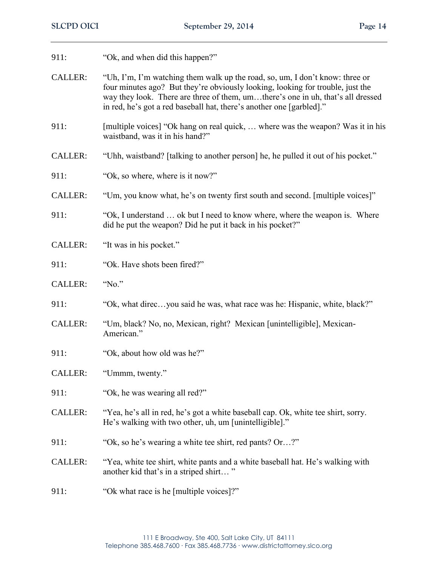- 911: "Ok, and when did this happen?"
- CALLER: "Uh, I'm, I'm watching them walk up the road, so, um, I don't know: three or four minutes ago? But they're obviously looking, looking for trouble, just the way they look. There are three of them, um…there's one in uh, that's all dressed in red, he's got a red baseball hat, there's another one [garbled]."
- 911: [multiple voices] "Ok hang on real quick, ... where was the weapon? Was it in his waistband, was it in his hand?"
- CALLER: "Uhh, waistband? [talking to another person] he, he pulled it out of his pocket."
- 911: "Ok, so where, where is it now?"
- CALLER: "Um, you know what, he's on twenty first south and second. [multiple voices]"
- 911: "Ok, I understand ... ok but I need to know where, where the weapon is. Where did he put the weapon? Did he put it back in his pocket?"
- CALLER: "It was in his pocket."
- 911: "Ok. Have shots been fired?"
- CALLER: "No."
- 911: "Ok, what direc…you said he was, what race was he: Hispanic, white, black?"
- CALLER: "Um, black? No, no, Mexican, right? Mexican [unintelligible], Mexican-American."
- 911: "Ok, about how old was he?"
- CALLER: "Ummm, twenty."
- 911: "Ok, he was wearing all red?"
- CALLER: "Yea, he's all in red, he's got a white baseball cap. Ok, white tee shirt, sorry. He's walking with two other, uh, um [unintelligible]."
- 911: "Ok, so he's wearing a white tee shirt, red pants? Or...?"
- CALLER: "Yea, white tee shirt, white pants and a white baseball hat. He's walking with another kid that's in a striped shirt… "
- 911: "Ok what race is he [multiple voices]?"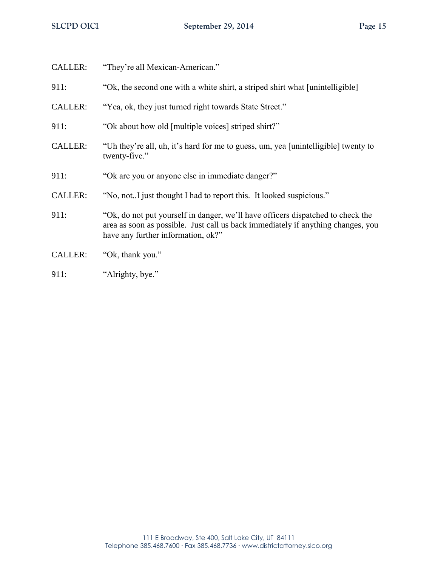| <b>CALLER:</b> | "They're all Mexican-American."                                                                                                                                                                           |
|----------------|-----------------------------------------------------------------------------------------------------------------------------------------------------------------------------------------------------------|
| 911:           | "Ok, the second one with a white shirt, a striped shirt what [unintelligible]                                                                                                                             |
| <b>CALLER:</b> | "Yea, ok, they just turned right towards State Street."                                                                                                                                                   |
| 911:           | "Ok about how old [multiple voices] striped shirt?"                                                                                                                                                       |
| <b>CALLER:</b> | "Uh they're all, uh, it's hard for me to guess, um, yea [unintelligible] twenty to<br>twenty-five."                                                                                                       |
| 911:           | "Ok are you or anyone else in immediate danger?"                                                                                                                                                          |
| <b>CALLER:</b> | "No, not. I just thought I had to report this. It looked suspicious."                                                                                                                                     |
| 911:           | "Ok, do not put yourself in danger, we'll have officers dispatched to check the<br>area as soon as possible. Just call us back immediately if anything changes, you<br>have any further information, ok?" |
| <b>CALLER:</b> | "Ok, thank you."                                                                                                                                                                                          |
| 911:           | "Alrighty, bye."                                                                                                                                                                                          |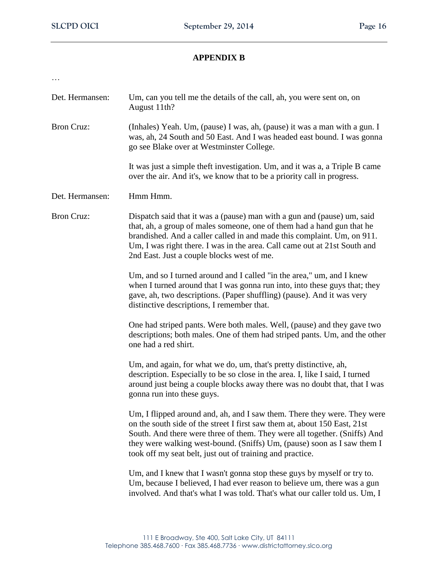# **APPENDIX B**

| ٠ |   |    |
|---|---|----|
| I | ٠ | ۰. |
|   |   |    |

- Det. Hermansen: Um, can you tell me the details of the call, ah, you were sent on, on August 11th?
- Bron Cruz: (Inhales) Yeah. Um, (pause) I was, ah, (pause) it was a man with a gun. I was, ah, 24 South and 50 East. And I was headed east bound. I was gonna go see Blake over at Westminster College.

 It was just a simple theft investigation. Um, and it was a, a Triple B came over the air. And it's, we know that to be a priority call in progress.

- Det. Hermansen: Hmm Hmm.
- Bron Cruz: Dispatch said that it was a (pause) man with a gun and (pause) um, said that, ah, a group of males someone, one of them had a hand gun that he brandished. And a caller called in and made this complaint. Um, on 911. Um, I was right there. I was in the area. Call came out at 21st South and 2nd East. Just a couple blocks west of me.

Um, and so I turned around and I called "in the area," um, and I knew when I turned around that I was gonna run into, into these guys that; they gave, ah, two descriptions. (Paper shuffling) (pause). And it was very distinctive descriptions, I remember that.

One had striped pants. Were both males. Well, (pause) and they gave two descriptions; both males. One of them had striped pants. Um, and the other one had a red shirt.

 Um, and again, for what we do, um, that's pretty distinctive, ah, description. Especially to be so close in the area. I, like I said, I turned around just being a couple blocks away there was no doubt that, that I was gonna run into these guys.

Um, I flipped around and, ah, and I saw them. There they were. They were on the south side of the street I first saw them at, about 150 East, 21st South. And there were three of them. They were all together. (Sniffs) And they were walking west-bound. (Sniffs) Um, (pause) soon as I saw them I took off my seat belt, just out of training and practice.

Um, and I knew that I wasn't gonna stop these guys by myself or try to. Um, because I believed, I had ever reason to believe um, there was a gun involved. And that's what I was told. That's what our caller told us. Um, I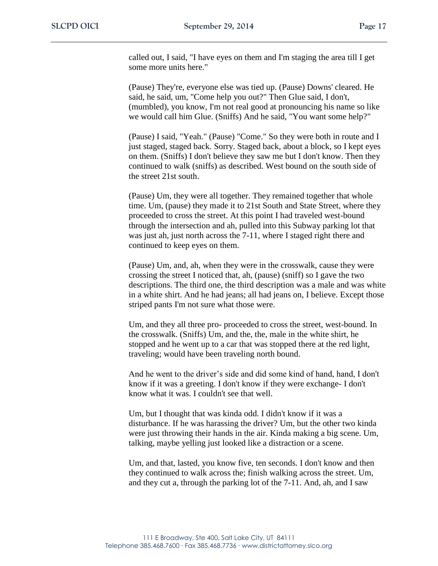called out, I said, "I have eyes on them and I'm staging the area till I get some more units here."

(Pause) They're, everyone else was tied up. (Pause) Downs' cleared. He said, he said, um, "Come help you out?" Then Glue said, I don't, (mumbled), you know, I'm not real good at pronouncing his name so like we would call him Glue. (Sniffs) And he said, "You want some help?"

(Pause) I said, "Yeah." (Pause) "Come." So they were both in route and I just staged, staged back. Sorry. Staged back, about a block, so I kept eyes on them. (Sniffs) I don't believe they saw me but I don't know. Then they continued to walk (sniffs) as described. West bound on the south side of the street 21st south.

(Pause) Um, they were all together. They remained together that whole time. Um, (pause) they made it to 21st South and State Street, where they proceeded to cross the street. At this point I had traveled west-bound through the intersection and ah, pulled into this Subway parking lot that was just ah, just north across the 7-11, where I staged right there and continued to keep eyes on them.

(Pause) Um, and, ah, when they were in the crosswalk, cause they were crossing the street I noticed that, ah, (pause) (sniff) so I gave the two descriptions. The third one, the third description was a male and was white in a white shirt. And he had jeans; all had jeans on, I believe. Except those striped pants I'm not sure what those were.

Um, and they all three pro- proceeded to cross the street, west-bound. In the crosswalk. (Sniffs) Um, and the, the, male in the white shirt, he stopped and he went up to a car that was stopped there at the red light, traveling; would have been traveling north bound.

 And he went to the driver's side and did some kind of hand, hand, I don't know if it was a greeting. I don't know if they were exchange- I don't know what it was. I couldn't see that well.

Um, but I thought that was kinda odd. I didn't know if it was a disturbance. If he was harassing the driver? Um, but the other two kinda were just throwing their hands in the air. Kinda making a big scene. Um, talking, maybe yelling just looked like a distraction or a scene.

Um, and that, lasted, you know five, ten seconds. I don't know and then they continued to walk across the; finish walking across the street. Um, and they cut a, through the parking lot of the 7-11. And, ah, and I saw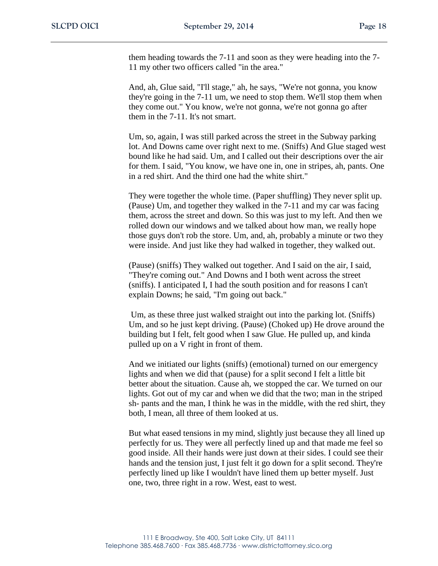them heading towards the 7-11 and soon as they were heading into the 7- 11 my other two officers called "in the area."

And, ah, Glue said, "I'll stage," ah, he says, "We're not gonna, you know they're going in the 7-11 um, we need to stop them. We'll stop them when they come out." You know, we're not gonna, we're not gonna go after them in the 7-11. It's not smart.

Um, so, again, I was still parked across the street in the Subway parking lot. And Downs came over right next to me. (Sniffs) And Glue staged west bound like he had said. Um, and I called out their descriptions over the air for them. I said, "You know, we have one in, one in stripes, ah, pants. One in a red shirt. And the third one had the white shirt."

They were together the whole time. (Paper shuffling) They never split up. (Pause) Um, and together they walked in the 7-11 and my car was facing them, across the street and down. So this was just to my left. And then we rolled down our windows and we talked about how man, we really hope those guys don't rob the store. Um, and, ah, probably a minute or two they were inside. And just like they had walked in together, they walked out.

(Pause) (sniffs) They walked out together. And I said on the air, I said, "They're coming out." And Downs and I both went across the street (sniffs). I anticipated I, I had the south position and for reasons I can't explain Downs; he said, "I'm going out back."

 Um, as these three just walked straight out into the parking lot. (Sniffs) Um, and so he just kept driving. (Pause) (Choked up) He drove around the building but I felt, felt good when I saw Glue. He pulled up, and kinda pulled up on a V right in front of them.

And we initiated our lights (sniffs) (emotional) turned on our emergency lights and when we did that (pause) for a split second I felt a little bit better about the situation. Cause ah, we stopped the car. We turned on our lights. Got out of my car and when we did that the two; man in the striped sh- pants and the man, I think he was in the middle, with the red shirt, they both, I mean, all three of them looked at us.

But what eased tensions in my mind, slightly just because they all lined up perfectly for us. They were all perfectly lined up and that made me feel so good inside. All their hands were just down at their sides. I could see their hands and the tension just, I just felt it go down for a split second. They're perfectly lined up like I wouldn't have lined them up better myself. Just one, two, three right in a row. West, east to west.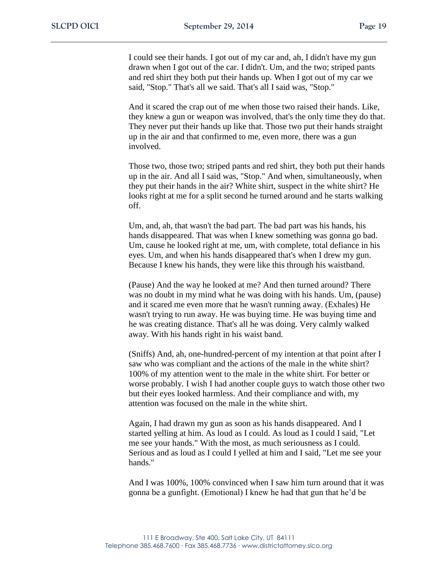I could see their hands. I got out of my car and, ah, I didn't have my gun drawn when I got out of the car. I didn't. Um, and the two; striped pants and red shirt they both put their hands up. When I got out of my car we said, "Stop." That's all we said. That's all I said was, "Stop."

And it scared the crap out of me when those two raised their hands. Like, they knew a gun or weapon was involved, that's the only time they do that. They never put their hands up like that. Those two put their hands straight up in the air and that confirmed to me, even more, there was a gun involved.

Those two, those two; striped pants and red shirt, they both put their hands up in the air. And all I said was, "Stop." And when, simultaneously, when they put their hands in the air? White shirt, suspect in the white shirt? He looks right at me for a split second he turned around and he starts walking off.

Um, and, ah, that wasn't the bad part. The bad part was his hands, his hands disappeared. That was when I knew something was gonna go bad. Um, cause he looked right at me, um, with complete, total defiance in his eyes. Um, and when his hands disappeared that's when I drew my gun. Because I knew his hands, they were like this through his waistband.

(Pause) And the way he looked at me? And then turned around? There was no doubt in my mind what he was doing with his hands. Um, (pause) and it scared me even more that he wasn't running away. (Exhales) He wasn't trying to run away. He was buying time. He was buying time and he was creating distance. That's all he was doing. Very calmly walked away. With his hands right in his waist band.

(Sniffs) And, ah, one-hundred-percent of my intention at that point after I saw who was compliant and the actions of the male in the white shirt? 100% of my attention went to the male in the white shirt. For better or worse probably. I wish I had another couple guys to watch those other two but their eyes looked harmless. And their compliance and with, my attention was focused on the male in the white shirt.

Again, I had drawn my gun as soon as his hands disappeared. And I started yelling at him. As loud as I could. As loud as I could I said, "Let me see your hands." With the most, as much seriousness as I could. Serious and as loud as I could I yelled at him and I said, "Let me see your hands."

And I was 100%, 100% convinced when I saw him turn around that it was gonna be a gunfight. (Emotional) I knew he had that gun that he'd be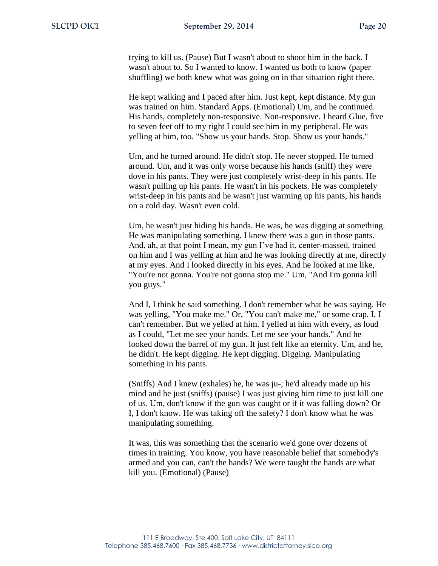trying to kill us. (Pause) But I wasn't about to shoot him in the back. I wasn't about to. So I wanted to know. I wanted us both to know (paper shuffling) we both knew what was going on in that situation right there.

He kept walking and I paced after him. Just kept, kept distance. My gun was trained on him. Standard Apps. (Emotional) Um, and he continued. His hands, completely non-responsive. Non-responsive. I heard Glue, five to seven feet off to my right I could see him in my peripheral. He was yelling at him, too. "Show us your hands. Stop. Show us your hands."

Um, and he turned around. He didn't stop. He never stopped. He turned around. Um, and it was only worse because his hands (sniff) they were dove in his pants. They were just completely wrist-deep in his pants. He wasn't pulling up his pants. He wasn't in his pockets. He was completely wrist-deep in his pants and he wasn't just warming up his pants, his hands on a cold day. Wasn't even cold.

Um, he wasn't just hiding his hands. He was, he was digging at something. He was manipulating something. I knew there was a gun in those pants. And, ah, at that point I mean, my gun I've had it, center-massed, trained on him and I was yelling at him and he was looking directly at me, directly at my eyes. And I looked directly in his eyes. And he looked at me like, "You're not gonna. You're not gonna stop me." Um, "And I'm gonna kill you guys."

And I, I think he said something. I don't remember what he was saying. He was yelling, "You make me." Or, "You can't make me," or some crap. I, I can't remember. But we yelled at him. I yelled at him with every, as loud as I could, "Let me see your hands. Let me see your hands." And he looked down the barrel of my gun. It just felt like an eternity. Um, and he, he didn't. He kept digging. He kept digging. Digging. Manipulating something in his pants.

(Sniffs) And I knew (exhales) he, he was ju-; he'd already made up his mind and he just (sniffs) (pause) I was just giving him time to just kill one of us. Um, don't know if the gun was caught or if it was falling down? Or I, I don't know. He was taking off the safety? I don't know what he was manipulating something.

It was, this was something that the scenario we'd gone over dozens of times in training. You know, you have reasonable belief that somebody's armed and you can, can't the hands? We were taught the hands are what kill you. (Emotional) (Pause)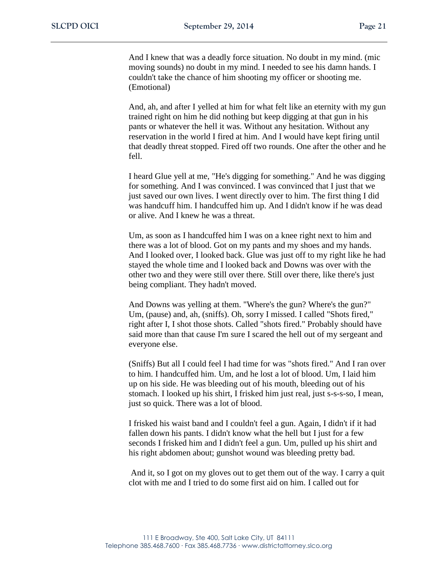And I knew that was a deadly force situation. No doubt in my mind. (mic moving sounds) no doubt in my mind. I needed to see his damn hands. I couldn't take the chance of him shooting my officer or shooting me. (Emotional)

And, ah, and after I yelled at him for what felt like an eternity with my gun trained right on him he did nothing but keep digging at that gun in his pants or whatever the hell it was. Without any hesitation. Without any reservation in the world I fired at him. And I would have kept firing until that deadly threat stopped. Fired off two rounds. One after the other and he fell.

I heard Glue yell at me, "He's digging for something." And he was digging for something. And I was convinced. I was convinced that I just that we just saved our own lives. I went directly over to him. The first thing I did was handcuff him. I handcuffed him up. And I didn't know if he was dead or alive. And I knew he was a threat.

Um, as soon as I handcuffed him I was on a knee right next to him and there was a lot of blood. Got on my pants and my shoes and my hands. And I looked over, I looked back. Glue was just off to my right like he had stayed the whole time and I looked back and Downs was over with the other two and they were still over there. Still over there, like there's just being compliant. They hadn't moved.

And Downs was yelling at them. "Where's the gun? Where's the gun?" Um, (pause) and, ah, (sniffs). Oh, sorry I missed. I called "Shots fired," right after I, I shot those shots. Called "shots fired." Probably should have said more than that cause I'm sure I scared the hell out of my sergeant and everyone else.

(Sniffs) But all I could feel I had time for was "shots fired." And I ran over to him. I handcuffed him. Um, and he lost a lot of blood. Um, I laid him up on his side. He was bleeding out of his mouth, bleeding out of his stomach. I looked up his shirt, I frisked him just real, just s-s-s-so, I mean, just so quick. There was a lot of blood.

I frisked his waist band and I couldn't feel a gun. Again, I didn't if it had fallen down his pants. I didn't know what the hell but I just for a few seconds I frisked him and I didn't feel a gun. Um, pulled up his shirt and his right abdomen about; gunshot wound was bleeding pretty bad.

 And it, so I got on my gloves out to get them out of the way. I carry a quit clot with me and I tried to do some first aid on him. I called out for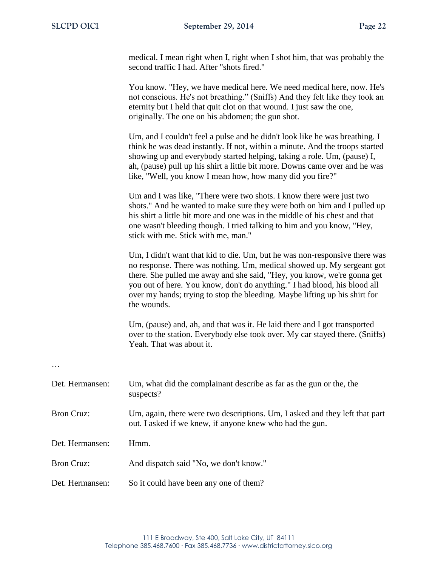medical. I mean right when I, right when I shot him, that was probably the second traffic I had. After "shots fired."

You know. "Hey, we have medical here. We need medical here, now. He's not conscious. He's not breathing." (Sniffs) And they felt like they took an eternity but I held that quit clot on that wound. I just saw the one, originally. The one on his abdomen; the gun shot.

Um, and I couldn't feel a pulse and he didn't look like he was breathing. I think he was dead instantly. If not, within a minute. And the troops started showing up and everybody started helping, taking a role. Um, (pause) I, ah, (pause) pull up his shirt a little bit more. Downs came over and he was like, "Well, you know I mean how, how many did you fire?"

Um and I was like, "There were two shots. I know there were just two shots." And he wanted to make sure they were both on him and I pulled up his shirt a little bit more and one was in the middle of his chest and that one wasn't bleeding though. I tried talking to him and you know, "Hey, stick with me. Stick with me, man."

Um, I didn't want that kid to die. Um, but he was non-responsive there was no response. There was nothing. Um, medical showed up. My sergeant got there. She pulled me away and she said, "Hey, you know, we're gonna get you out of here. You know, don't do anything." I had blood, his blood all over my hands; trying to stop the bleeding. Maybe lifting up his shirt for the wounds.

Um, (pause) and, ah, and that was it. He laid there and I got transported over to the station. Everybody else took over. My car stayed there. (Sniffs) Yeah. That was about it.

…

| Det. Hermansen:   | Um, what did the complainant describe as far as the gun or the, the<br>suspects?                                                        |
|-------------------|-----------------------------------------------------------------------------------------------------------------------------------------|
| <b>Bron Cruz:</b> | Um, again, there were two descriptions. Um, I asked and they left that part<br>out. I asked if we knew, if anyone knew who had the gun. |
| Det. Hermansen:   | Hmm.                                                                                                                                    |
| <b>Bron Cruz:</b> | And dispatch said "No, we don't know."                                                                                                  |
| Det. Hermansen:   | So it could have been any one of them?                                                                                                  |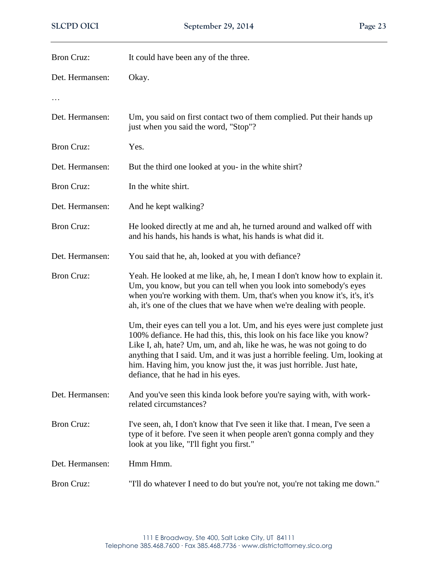| <b>Bron Cruz:</b> | It could have been any of the three.                                                                                                                                                                                                                                                                                                                                                                                         |
|-------------------|------------------------------------------------------------------------------------------------------------------------------------------------------------------------------------------------------------------------------------------------------------------------------------------------------------------------------------------------------------------------------------------------------------------------------|
| Det. Hermansen:   | Okay.                                                                                                                                                                                                                                                                                                                                                                                                                        |
|                   |                                                                                                                                                                                                                                                                                                                                                                                                                              |
| Det. Hermansen:   | Um, you said on first contact two of them complied. Put their hands up<br>just when you said the word, "Stop"?                                                                                                                                                                                                                                                                                                               |
| <b>Bron Cruz:</b> | Yes.                                                                                                                                                                                                                                                                                                                                                                                                                         |
| Det. Hermansen:   | But the third one looked at you- in the white shirt?                                                                                                                                                                                                                                                                                                                                                                         |
| <b>Bron Cruz:</b> | In the white shirt.                                                                                                                                                                                                                                                                                                                                                                                                          |
| Det. Hermansen:   | And he kept walking?                                                                                                                                                                                                                                                                                                                                                                                                         |
| <b>Bron Cruz:</b> | He looked directly at me and ah, he turned around and walked off with<br>and his hands, his hands is what, his hands is what did it.                                                                                                                                                                                                                                                                                         |
| Det. Hermansen:   | You said that he, ah, looked at you with defiance?                                                                                                                                                                                                                                                                                                                                                                           |
| <b>Bron Cruz:</b> | Yeah. He looked at me like, ah, he, I mean I don't know how to explain it.<br>Um, you know, but you can tell when you look into somebody's eyes<br>when you're working with them. Um, that's when you know it's, it's, it's<br>ah, it's one of the clues that we have when we're dealing with people.                                                                                                                        |
|                   | Um, their eyes can tell you a lot. Um, and his eyes were just complete just<br>100% defiance. He had this, this, this look on his face like you know?<br>Like I, ah, hate? Um, um, and ah, like he was, he was not going to do<br>anything that I said. Um, and it was just a horrible feeling. Um, looking at<br>him. Having him, you know just the, it was just horrible. Just hate,<br>defiance, that he had in his eyes. |
| Det. Hermansen:   | And you've seen this kinda look before you're saying with, with work-<br>related circumstances?                                                                                                                                                                                                                                                                                                                              |
| <b>Bron Cruz:</b> | I've seen, ah, I don't know that I've seen it like that. I mean, I've seen a<br>type of it before. I've seen it when people aren't gonna comply and they<br>look at you like, "I'll fight you first."                                                                                                                                                                                                                        |
| Det. Hermansen:   | Hmm Hmm.                                                                                                                                                                                                                                                                                                                                                                                                                     |
| <b>Bron Cruz:</b> | "I'll do whatever I need to do but you're not, you're not taking me down."                                                                                                                                                                                                                                                                                                                                                   |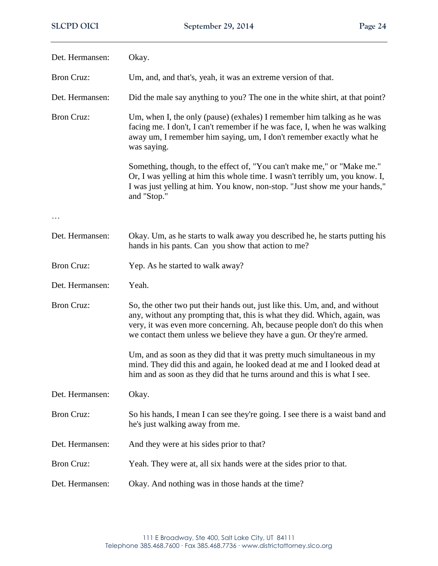| Det. Hermansen:   | Okay.                                                                                                                                                                                                                                                                                                        |  |
|-------------------|--------------------------------------------------------------------------------------------------------------------------------------------------------------------------------------------------------------------------------------------------------------------------------------------------------------|--|
| <b>Bron Cruz:</b> | Um, and, and that's, yeah, it was an extreme version of that.                                                                                                                                                                                                                                                |  |
| Det. Hermansen:   | Did the male say anything to you? The one in the white shirt, at that point?                                                                                                                                                                                                                                 |  |
| <b>Bron Cruz:</b> | Um, when I, the only (pause) (exhales) I remember him talking as he was<br>facing me. I don't, I can't remember if he was face, I, when he was walking<br>away um, I remember him saying, um, I don't remember exactly what he<br>was saying.                                                                |  |
|                   | Something, though, to the effect of, "You can't make me," or "Make me."<br>Or, I was yelling at him this whole time. I wasn't terribly um, you know. I,<br>I was just yelling at him. You know, non-stop. "Just show me your hands,"<br>and "Stop."                                                          |  |
|                   |                                                                                                                                                                                                                                                                                                              |  |
| Det. Hermansen:   | Okay. Um, as he starts to walk away you described he, he starts putting his<br>hands in his pants. Can you show that action to me?                                                                                                                                                                           |  |
| <b>Bron Cruz:</b> | Yep. As he started to walk away?                                                                                                                                                                                                                                                                             |  |
| Det. Hermansen:   | Yeah.                                                                                                                                                                                                                                                                                                        |  |
| <b>Bron Cruz:</b> | So, the other two put their hands out, just like this. Um, and, and without<br>any, without any prompting that, this is what they did. Which, again, was<br>very, it was even more concerning. Ah, because people don't do this when<br>we contact them unless we believe they have a gun. Or they're armed. |  |
|                   | Um, and as soon as they did that it was pretty much simultaneous in my<br>mind. They did this and again, he looked dead at me and I looked dead at<br>him and as soon as they did that he turns around and this is what I see.                                                                               |  |
| Det. Hermansen:   | Okay.                                                                                                                                                                                                                                                                                                        |  |
| <b>Bron Cruz:</b> | So his hands, I mean I can see they're going. I see there is a waist band and<br>he's just walking away from me.                                                                                                                                                                                             |  |
| Det. Hermansen:   | And they were at his sides prior to that?                                                                                                                                                                                                                                                                    |  |
| <b>Bron Cruz:</b> | Yeah. They were at, all six hands were at the sides prior to that.                                                                                                                                                                                                                                           |  |
| Det. Hermansen:   | Okay. And nothing was in those hands at the time?                                                                                                                                                                                                                                                            |  |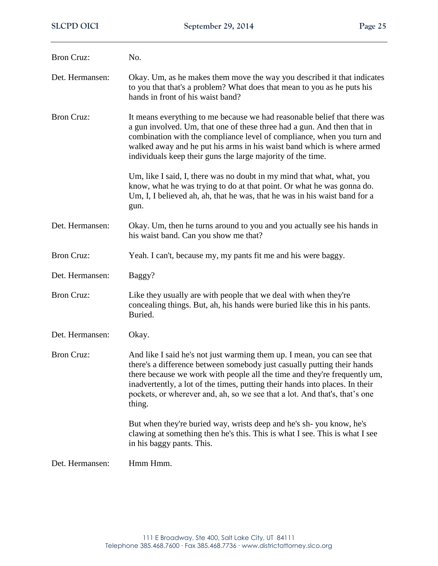| <b>Bron Cruz:</b> | No.                                                                                                                                                                                                                                                                                                                                                                                                     |  |
|-------------------|---------------------------------------------------------------------------------------------------------------------------------------------------------------------------------------------------------------------------------------------------------------------------------------------------------------------------------------------------------------------------------------------------------|--|
| Det. Hermansen:   | Okay. Um, as he makes them move the way you described it that indicates<br>to you that that's a problem? What does that mean to you as he puts his<br>hands in front of his waist band?                                                                                                                                                                                                                 |  |
| <b>Bron Cruz:</b> | It means everything to me because we had reasonable belief that there was<br>a gun involved. Um, that one of these three had a gun. And then that in<br>combination with the compliance level of compliance, when you turn and<br>walked away and he put his arms in his waist band which is where armed<br>individuals keep their guns the large majority of the time.                                 |  |
|                   | Um, like I said, I, there was no doubt in my mind that what, what, you<br>know, what he was trying to do at that point. Or what he was gonna do.<br>Um, I, I believed ah, ah, that he was, that he was in his waist band for a<br>gun.                                                                                                                                                                  |  |
| Det. Hermansen:   | Okay. Um, then he turns around to you and you actually see his hands in<br>his waist band. Can you show me that?                                                                                                                                                                                                                                                                                        |  |
| <b>Bron Cruz:</b> | Yeah. I can't, because my, my pants fit me and his were baggy.                                                                                                                                                                                                                                                                                                                                          |  |
| Det. Hermansen:   | Baggy?                                                                                                                                                                                                                                                                                                                                                                                                  |  |
| <b>Bron Cruz:</b> | Like they usually are with people that we deal with when they're<br>concealing things. But, ah, his hands were buried like this in his pants.<br>Buried.                                                                                                                                                                                                                                                |  |
| Det. Hermansen:   | Okay.                                                                                                                                                                                                                                                                                                                                                                                                   |  |
| <b>Bron Cruz:</b> | And like I said he's not just warming them up. I mean, you can see that<br>there's a difference between somebody just casually putting their hands<br>there because we work with people all the time and they're frequently um,<br>inadvertently, a lot of the times, putting their hands into places. In their<br>pockets, or wherever and, ah, so we see that a lot. And that's, that's one<br>thing. |  |
|                   | But when they're buried way, wrists deep and he's sh-you know, he's<br>clawing at something then he's this. This is what I see. This is what I see<br>in his baggy pants. This.                                                                                                                                                                                                                         |  |
| Det. Hermansen:   | Hmm Hmm.                                                                                                                                                                                                                                                                                                                                                                                                |  |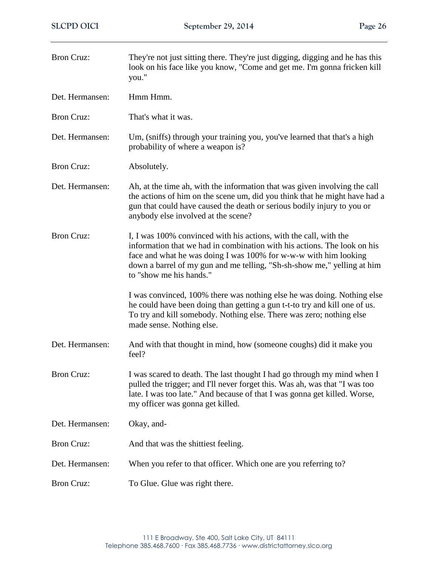| <b>Bron Cruz:</b> | They're not just sitting there. They're just digging, digging and he has this<br>look on his face like you know, "Come and get me. I'm gonna fricken kill<br>you."                                                                                                                                                      |
|-------------------|-------------------------------------------------------------------------------------------------------------------------------------------------------------------------------------------------------------------------------------------------------------------------------------------------------------------------|
| Det. Hermansen:   | Hmm Hmm.                                                                                                                                                                                                                                                                                                                |
| <b>Bron Cruz:</b> | That's what it was.                                                                                                                                                                                                                                                                                                     |
| Det. Hermansen:   | Um, (sniffs) through your training you, you've learned that that's a high<br>probability of where a weapon is?                                                                                                                                                                                                          |
| <b>Bron Cruz:</b> | Absolutely.                                                                                                                                                                                                                                                                                                             |
| Det. Hermansen:   | Ah, at the time ah, with the information that was given involving the call<br>the actions of him on the scene um, did you think that he might have had a<br>gun that could have caused the death or serious bodily injury to you or<br>anybody else involved at the scene?                                              |
| <b>Bron Cruz:</b> | I, I was 100% convinced with his actions, with the call, with the<br>information that we had in combination with his actions. The look on his<br>face and what he was doing I was 100% for w-w-w with him looking<br>down a barrel of my gun and me telling, "Sh-sh-show me," yelling at him<br>to "show me his hands." |
|                   | I was convinced, 100% there was nothing else he was doing. Nothing else<br>he could have been doing than getting a gun t-t-to try and kill one of us.<br>To try and kill somebody. Nothing else. There was zero; nothing else<br>made sense. Nothing else.                                                              |
| Det. Hermansen:   | And with that thought in mind, how (someone coughs) did it make you<br>feel?                                                                                                                                                                                                                                            |
| <b>Bron Cruz:</b> | I was scared to death. The last thought I had go through my mind when I<br>pulled the trigger; and I'll never forget this. Was ah, was that "I was too<br>late. I was too late." And because of that I was gonna get killed. Worse,<br>my officer was gonna get killed.                                                 |
| Det. Hermansen:   | Okay, and-                                                                                                                                                                                                                                                                                                              |
| <b>Bron Cruz:</b> | And that was the shittiest feeling.                                                                                                                                                                                                                                                                                     |
| Det. Hermansen:   | When you refer to that officer. Which one are you referring to?                                                                                                                                                                                                                                                         |
| <b>Bron Cruz:</b> | To Glue. Glue was right there.                                                                                                                                                                                                                                                                                          |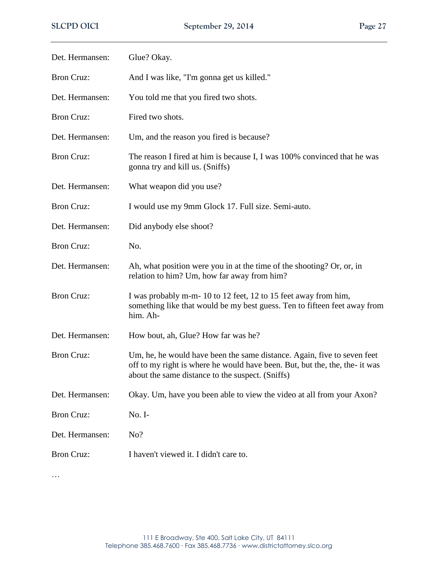| Det. Hermansen:   | Glue? Okay.                                                                                                                                                                                                |  |
|-------------------|------------------------------------------------------------------------------------------------------------------------------------------------------------------------------------------------------------|--|
| <b>Bron Cruz:</b> | And I was like, "I'm gonna get us killed."                                                                                                                                                                 |  |
| Det. Hermansen:   | You told me that you fired two shots.                                                                                                                                                                      |  |
| <b>Bron Cruz:</b> | Fired two shots.                                                                                                                                                                                           |  |
| Det. Hermansen:   | Um, and the reason you fired is because?                                                                                                                                                                   |  |
| <b>Bron Cruz:</b> | The reason I fired at him is because I, I was 100% convinced that he was<br>gonna try and kill us. (Sniffs)                                                                                                |  |
| Det. Hermansen:   | What weapon did you use?                                                                                                                                                                                   |  |
| <b>Bron Cruz:</b> | I would use my 9mm Glock 17. Full size. Semi-auto.                                                                                                                                                         |  |
| Det. Hermansen:   | Did anybody else shoot?                                                                                                                                                                                    |  |
| <b>Bron Cruz:</b> | No.                                                                                                                                                                                                        |  |
| Det. Hermansen:   | Ah, what position were you in at the time of the shooting? Or, or, in<br>relation to him? Um, how far away from him?                                                                                       |  |
| <b>Bron Cruz:</b> | I was probably m-m-10 to 12 feet, 12 to 15 feet away from him,<br>something like that would be my best guess. Ten to fifteen feet away from<br>him. Ah-                                                    |  |
| Det. Hermansen:   | How bout, ah, Glue? How far was he?                                                                                                                                                                        |  |
| <b>Bron Cruz:</b> | Um, he, he would have been the same distance. Again, five to seven feet<br>off to my right is where he would have been. But, but the, the, the- it was<br>about the same distance to the suspect. (Sniffs) |  |
| Det. Hermansen:   | Okay. Um, have you been able to view the video at all from your Axon?                                                                                                                                      |  |
| <b>Bron Cruz:</b> | No. I-                                                                                                                                                                                                     |  |
| Det. Hermansen:   | No?                                                                                                                                                                                                        |  |
| <b>Bron Cruz:</b> | I haven't viewed it. I didn't care to.                                                                                                                                                                     |  |

…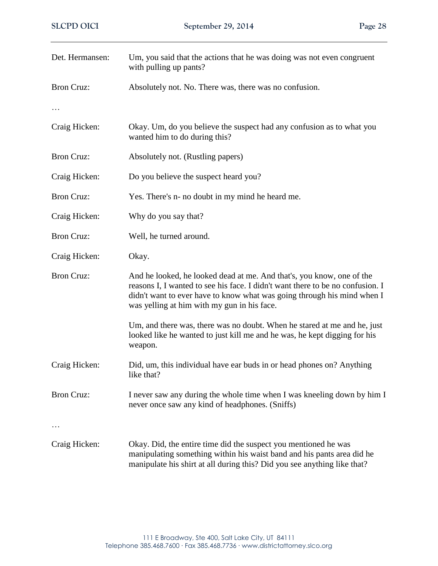| Det. Hermansen:   | Um, you said that the actions that he was doing was not even congruent<br>with pulling up pants?                                                                                                                                                                                  |
|-------------------|-----------------------------------------------------------------------------------------------------------------------------------------------------------------------------------------------------------------------------------------------------------------------------------|
| <b>Bron Cruz:</b> | Absolutely not. No. There was, there was no confusion.                                                                                                                                                                                                                            |
|                   |                                                                                                                                                                                                                                                                                   |
| Craig Hicken:     | Okay. Um, do you believe the suspect had any confusion as to what you<br>wanted him to do during this?                                                                                                                                                                            |
| <b>Bron Cruz:</b> | Absolutely not. (Rustling papers)                                                                                                                                                                                                                                                 |
| Craig Hicken:     | Do you believe the suspect heard you?                                                                                                                                                                                                                                             |
| <b>Bron Cruz:</b> | Yes. There's n- no doubt in my mind he heard me.                                                                                                                                                                                                                                  |
| Craig Hicken:     | Why do you say that?                                                                                                                                                                                                                                                              |
| <b>Bron Cruz:</b> | Well, he turned around.                                                                                                                                                                                                                                                           |
| Craig Hicken:     | Okay.                                                                                                                                                                                                                                                                             |
| <b>Bron Cruz:</b> | And he looked, he looked dead at me. And that's, you know, one of the<br>reasons I, I wanted to see his face. I didn't want there to be no confusion. I<br>didn't want to ever have to know what was going through his mind when I<br>was yelling at him with my gun in his face. |
|                   | Um, and there was, there was no doubt. When he stared at me and he, just<br>looked like he wanted to just kill me and he was, he kept digging for his<br>weapon.                                                                                                                  |
| Craig Hicken:     | Did, um, this individual have ear buds in or head phones on? Anything<br>like that?                                                                                                                                                                                               |
| <b>Bron Cruz:</b> | I never saw any during the whole time when I was kneeling down by him I<br>never once saw any kind of headphones. (Sniffs)                                                                                                                                                        |
| Craig Hicken:     | Okay. Did, the entire time did the suspect you mentioned he was<br>manipulating something within his waist band and his pants area did he<br>manipulate his shirt at all during this? Did you see anything like that?                                                             |